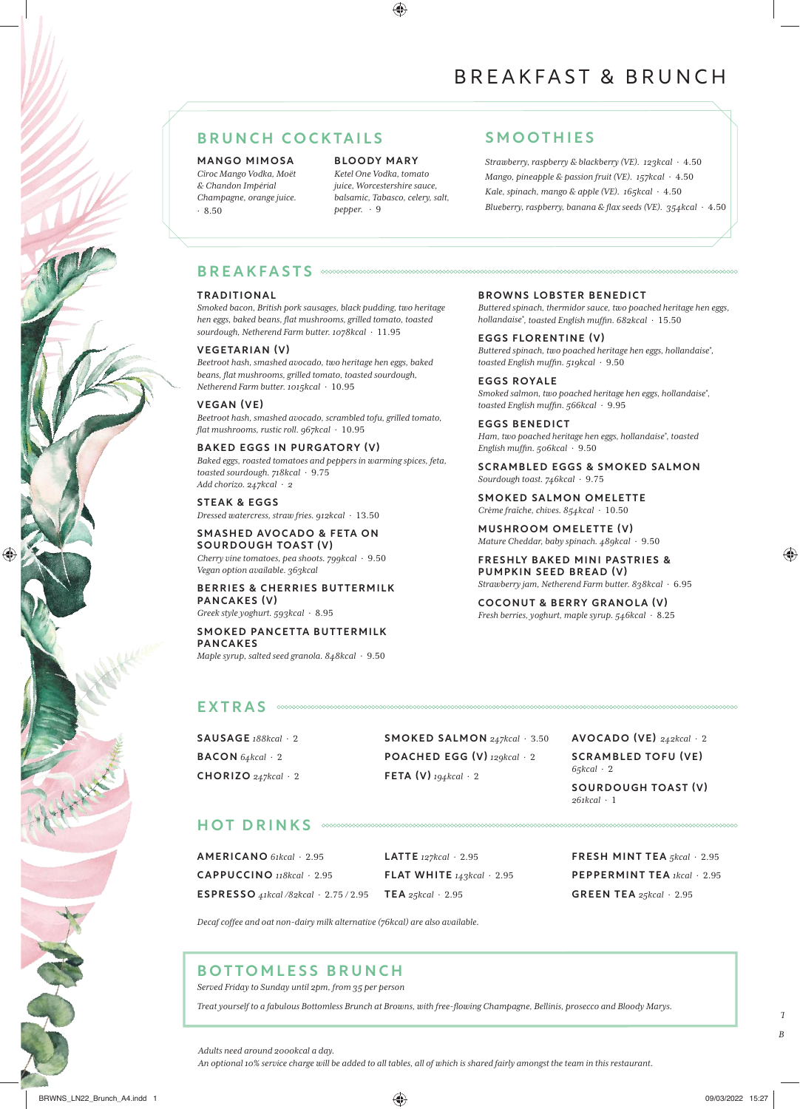# BREAKFAST & BRUNCH

# BRUNCH COCKTAILS SMOOTHIES

MANGO MIMOSA *Cîroc Mango Vodka, Moët & Chandon Impérial Champagne, orange juice.* · 8.50

BLOODY MARY *Ketel One Vodka, tomato juice, Worcestershire sauce, balsamic, Tabasco, celery, salt, pepper.* · 9

◈

*Strawberry, raspberry & blackberry (VE). 123kcal* · 4.50 *Mango, pineapple & passion fruit (VE). 157kcal* · 4.50 *Kale, spinach, mango & apple (VE). 165kcal* · 4.50 *Blueberry, raspberry, banana & flax seeds (VE). 354kcal* · 4.50

### BREAKFASTS

#### TRADITIONAL

*Smoked bacon, British pork sausages, black pudding, two heritage hen eggs, baked beans, flat mushrooms, grilled tomato, toasted sourdough, Netherend Farm butter. 1078kcal* · 11.95

#### VEGETARIAN (V)

*Beetroot hash, smashed avocado, two heritage hen eggs, baked beans, flat mushrooms, grilled tomato, toasted sourdough, Netherend Farm butter. 1015kcal* · 10.95

#### VEGAN (VE)

*Beetroot hash, smashed avocado, scrambled tofu, grilled tomato, flat mushrooms, rustic roll. 967kcal* · 10.95

#### BAKED EGGS IN PURGATORY (V)

*Baked eggs, roasted tomatoes and peppers in warming spices, feta, toasted sourdough. 718kcal* · 9.75 *Add chorizo. 247kcal* · *2*

STEAK & EGGS *Dressed watercress, straw fries. 912kcal* · 13.50

SMASHED AVOCADO & FETA ON SOURDOUGH TOAST (V) *Cherry vine tomatoes, pea shoots. 799kcal* · 9.50 *Vegan option available. 363kcal*

## BERRIES & CHERRIES BUTTERMILK PANCAKES (V)

*Greek style yoghurt. 593kcal* · 8.95

## SMOKED PANCETTA BUTTERMILK PANCAKES

*Maple syrup, salted seed granola. 848kcal* · 9.50

# BROWNS LOBSTER BENEDICT

*Buttered spinach, thermidor sauce, two poached heritage hen eggs, hollandaise\* , toasted English muffin. 682kcal* · 15.50

EGGS FLORENTINE (V) *Buttered spinach, two poached heritage hen eggs, hollandaise\* , toasted English muffin. 519kcal* · 9.50

EGGS ROYALE *Smoked salmon, two poached heritage hen eggs, hollandaise\* , toasted English muffin. 566kcal* · 9.95

EGGS BENEDICT *Ham, two poached heritage hen eggs, hollandaise\* , toasted English muffin. 506kcal* · 9.50

#### SCRAMBLED EGGS & SMOKED SALMON *Sourdough toast. 746kcal* · 9.75

SMOKED SALMON OMELETTE *Crème fraîche, chives. 854kcal* · 10.50

MUSHROOM OMELETTE (V) *Mature Cheddar, baby spinach. 489kcal* · 9.50

FRESHLY BAKED MINI PASTRIES & PUMPKIN SEED BREAD (V) *Strawberry jam, Netherend Farm butter. 838kcal* · 6.95

COCONUT & BERRY GRANOLA (V) *Fresh berries, yoghurt, maple syrup. 546kcal* · 8.25

## EXTRAS **WOODNINGOOD**

SAUSAGE *188kcal* · 2 BACON *64kcal* · 2 CHORIZO *247kcal* · 2 SMOKED SALMON *247kcal* · 3.50 POACHED EGG (V) *129kcal* · 2 FETA (V) *194kcal* · 2

AVOCADO (VE) *242kcal* · 2 SCRAMBLED TOFU (VE) *65kcal* · 2 SOURDOUGH TOAST (V) *261kcal* · 1

# HOT DRINKS

AMERICANO *61kcal* · 2.95 CAPPUCCINO *118kcal* · 2.95 ESPRESSO *41kcal /82kcal* · 2.75 / 2.95 TEA *25kcal* · 2.95

LATTE *127kcal* · 2.95 FLAT WHITE *143kcal* · 2.95 FRESH MINT TEA *5kcal* · 2.95 PEPPERMINT TEA *1kcal* · 2.95 GREEN TEA *25kcal* · 2.95

*Decaf coffee and oat non-dairy milk alternative (76kcal) are also available.*

# *Served Friday to Sunday until 2pm, from 35 per person* BOTTOMLESS BRUNCH

*Treat yourself to a fabulous Bottomless Brunch at Browns, with free-flowing Champagne, Bellinis, prosecco and Bloody Marys.*

⊕

*Adults need around 2000kcal a day.* 

*An optional 10% service charge will be added to all tables, all of which is shared fairly amongst the team in this restaurant.*